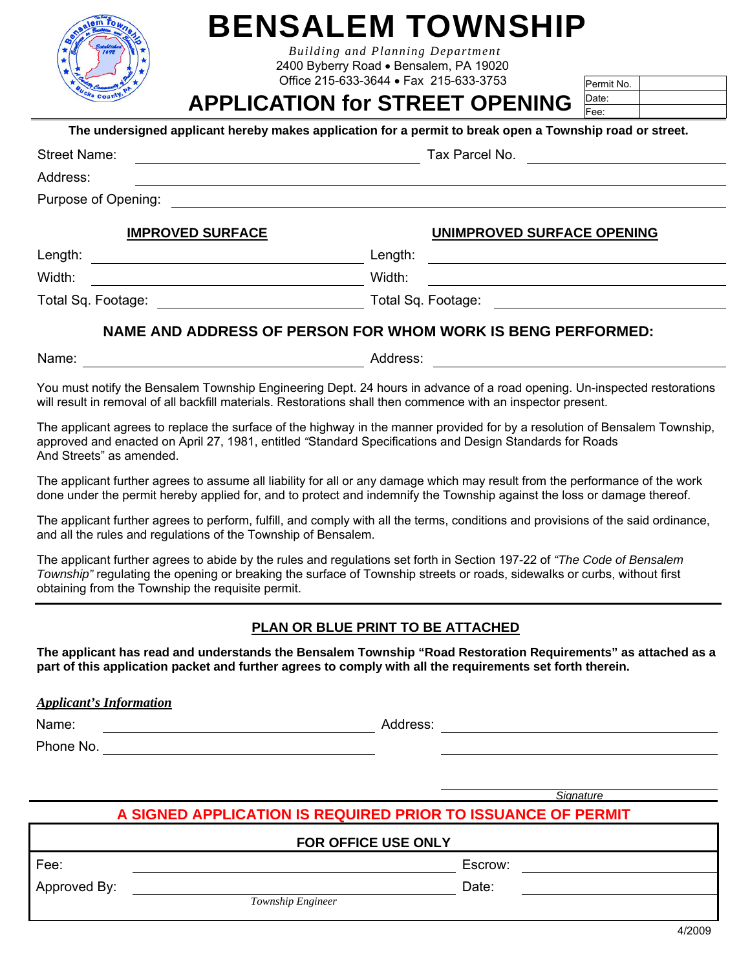|  | ν, |  |
|--|----|--|
|  |    |  |
|  |    |  |

# **BENSALEM TOWNSHIP**

*Building and Planning Department*  2400 Byberry Road · Bensalem, PA 19020 Office 215-633-3644 Fax 215-633-3753

## **APPLICATION for STREET OPENING**

Permit No. Date: Fee:

| The undersigned applicant hereby makes application for a permit to break open a Township road or street. |  |  |  |
|----------------------------------------------------------------------------------------------------------|--|--|--|
|----------------------------------------------------------------------------------------------------------|--|--|--|

| <b>Street Name:</b>     | Tax Parcel No.             |
|-------------------------|----------------------------|
| Address:                |                            |
| Purpose of Opening:     |                            |
| <b>IMPROVED SURFACE</b> | UNIMPROVED SURFACE OPENING |
| Length:                 | Length:                    |
| Width:                  | Width:                     |

### **NAME AND ADDRESS OF PERSON FOR WHOM WORK IS BENG PERFORMED:**

Total Sq. Footage: Total Sq. Footage:

Name: et al. 2012 and 2013 and 2014 and 2014 and 2014 and 2014 and 2014 and 2014 and 2014 and 2014 and 2014 and 2014 and 2014 and 2014 and 2014 and 2014 and 2014 and 2014 and 2014 and 2014 and 2014 and 2014 and 2014 and 20

You must notify the Bensalem Township Engineering Dept. 24 hours in advance of a road opening. Un-inspected restorations will result in removal of all backfill materials. Restorations shall then commence with an inspector present.

The applicant agrees to replace the surface of the highway in the manner provided for by a resolution of Bensalem Township, approved and enacted on April 27, 1981, entitled *"*Standard Specifications and Design Standards for Roads And Streets" as amended.

The applicant further agrees to assume all liability for all or any damage which may result from the performance of the work done under the permit hereby applied for, and to protect and indemnify the Township against the loss or damage thereof.

The applicant further agrees to perform, fulfill, and comply with all the terms, conditions and provisions of the said ordinance, and all the rules and regulations of the Township of Bensalem.

The applicant further agrees to abide by the rules and regulations set forth in Section 197-22 of *"The Code of Bensalem Township"* regulating the opening or breaking the surface of Township streets or roads, sidewalks or curbs, without first obtaining from the Township the requisite permit.

### **PLAN OR BLUE PRINT TO BE ATTACHED**

**The applicant has read and understands the Bensalem Township "Road Restoration Requirements" as attached as a part of this application packet and further agrees to comply with all the requirements set forth therein.** 

*Applicant's Information* 

Name: example and the contract of the Address: Address: Address: Address: Address: Address: Address: Address: Address: Address: Address: Address: Address: Address: Address: Address: Address: Address: Address: Address: Addr

Phone No.

*Signature*

## **A SIGNED APPLICATION IS REQUIRED PRIOR TO ISSUANCE OF PERMIT**

|              | <b>FOR OFFICE USE ONLY</b> |
|--------------|----------------------------|
| Fee:         | Escrow:                    |
| Approved By: | Date:                      |
|              | Township Engineer          |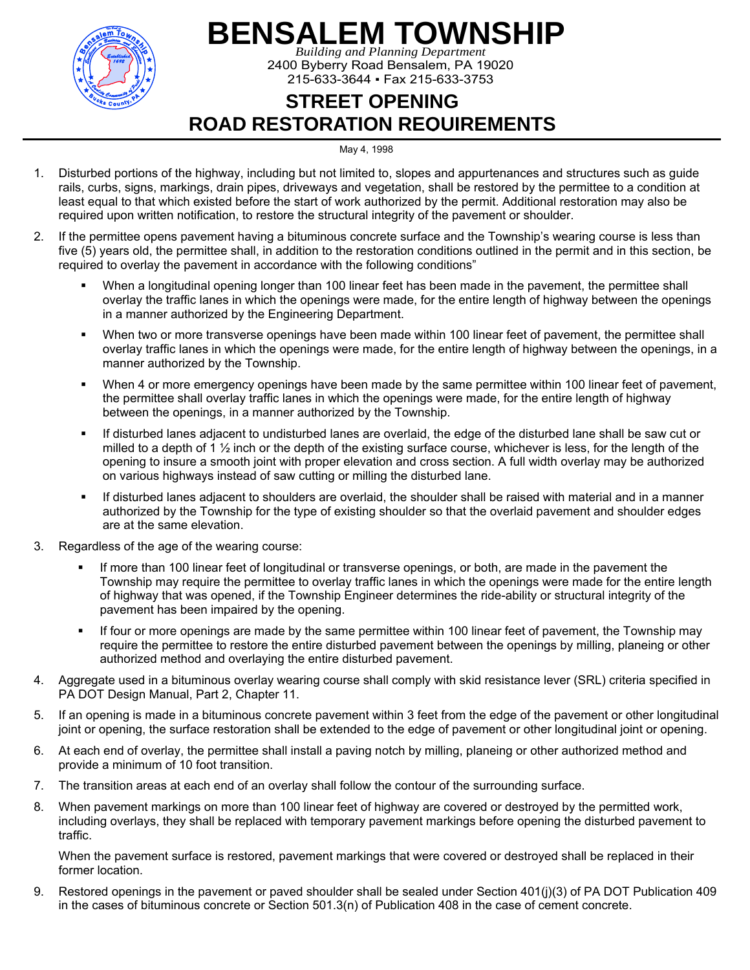

# **BENSALEM TOWNSHIP**

*Building and Planning Department*  2400 Byberry Road Bensalem, PA 19020 215-633-3644 ▪ Fax 215-633-3753

## **STREET OPENING ROAD RESTORATION REQUIREMENTS**

#### May 4, 1998

- 1. Disturbed portions of the highway, including but not limited to, slopes and appurtenances and structures such as guide rails, curbs, signs, markings, drain pipes, driveways and vegetation, shall be restored by the permittee to a condition at least equal to that which existed before the start of work authorized by the permit. Additional restoration may also be required upon written notification, to restore the structural integrity of the pavement or shoulder.
- 2. If the permittee opens pavement having a bituminous concrete surface and the Township's wearing course is less than five (5) years old, the permittee shall, in addition to the restoration conditions outlined in the permit and in this section, be required to overlay the pavement in accordance with the following conditions"
	- When a longitudinal opening longer than 100 linear feet has been made in the pavement, the permittee shall overlay the traffic lanes in which the openings were made, for the entire length of highway between the openings in a manner authorized by the Engineering Department.
	- When two or more transverse openings have been made within 100 linear feet of pavement, the permittee shall overlay traffic lanes in which the openings were made, for the entire length of highway between the openings, in a manner authorized by the Township.
	- When 4 or more emergency openings have been made by the same permittee within 100 linear feet of pavement, the permittee shall overlay traffic lanes in which the openings were made, for the entire length of highway between the openings, in a manner authorized by the Township.
	- If disturbed lanes adjacent to undisturbed lanes are overlaid, the edge of the disturbed lane shall be saw cut or milled to a depth of 1  $\frac{1}{2}$  inch or the depth of the existing surface course, whichever is less, for the length of the opening to insure a smooth joint with proper elevation and cross section. A full width overlay may be authorized on various highways instead of saw cutting or milling the disturbed lane.
	- If disturbed lanes adjacent to shoulders are overlaid, the shoulder shall be raised with material and in a manner authorized by the Township for the type of existing shoulder so that the overlaid pavement and shoulder edges are at the same elevation.
- 3. Regardless of the age of the wearing course:
	- If more than 100 linear feet of longitudinal or transverse openings, or both, are made in the pavement the Township may require the permittee to overlay traffic lanes in which the openings were made for the entire length of highway that was opened, if the Township Engineer determines the ride-ability or structural integrity of the pavement has been impaired by the opening.
	- If four or more openings are made by the same permittee within 100 linear feet of pavement, the Township may require the permittee to restore the entire disturbed pavement between the openings by milling, planeing or other authorized method and overlaying the entire disturbed pavement.
- 4. Aggregate used in a bituminous overlay wearing course shall comply with skid resistance lever (SRL) criteria specified in PA DOT Design Manual, Part 2, Chapter 11.
- 5. If an opening is made in a bituminous concrete pavement within 3 feet from the edge of the pavement or other longitudinal joint or opening, the surface restoration shall be extended to the edge of pavement or other longitudinal joint or opening.
- 6. At each end of overlay, the permittee shall install a paving notch by milling, planeing or other authorized method and provide a minimum of 10 foot transition.
- 7. The transition areas at each end of an overlay shall follow the contour of the surrounding surface.
- 8. When pavement markings on more than 100 linear feet of highway are covered or destroyed by the permitted work, including overlays, they shall be replaced with temporary pavement markings before opening the disturbed pavement to traffic.

When the pavement surface is restored, pavement markings that were covered or destroyed shall be replaced in their former location.

9. Restored openings in the pavement or paved shoulder shall be sealed under Section 401(j)(3) of PA DOT Publication 409 in the cases of bituminous concrete or Section 501.3(n) of Publication 408 in the case of cement concrete.